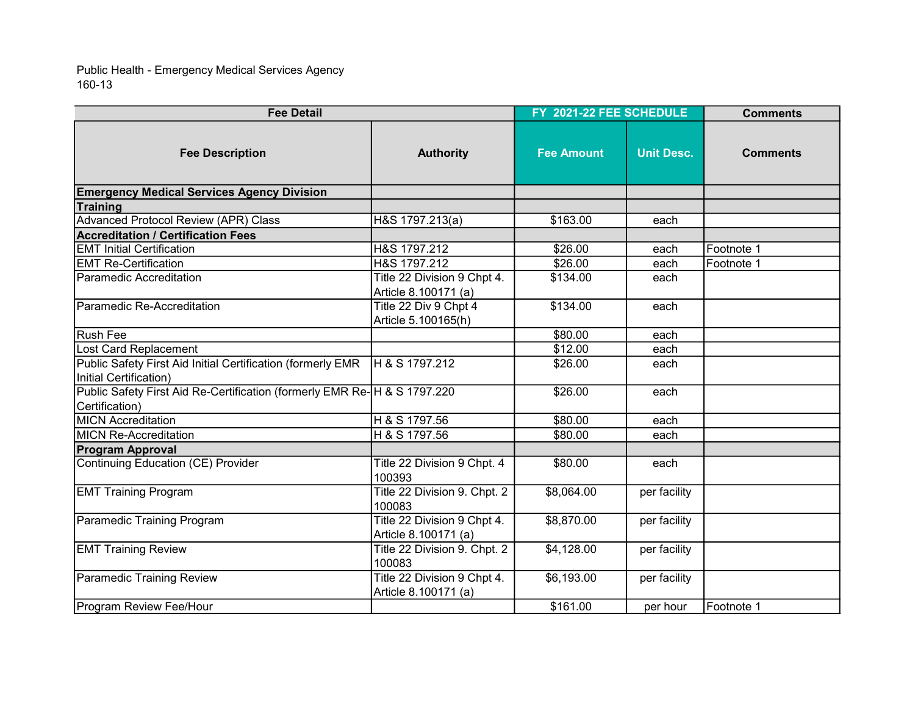160-13 Public Health - Emergency Medical Services Agency

| <b>Fee Detail</b>                                                                          |                                                     | FY 2021-22 FEE SCHEDULE |                   | <b>Comments</b> |
|--------------------------------------------------------------------------------------------|-----------------------------------------------------|-------------------------|-------------------|-----------------|
| <b>Fee Description</b>                                                                     | <b>Authority</b>                                    | <b>Fee Amount</b>       | <b>Unit Desc.</b> | <b>Comments</b> |
| <b>Emergency Medical Services Agency Division</b>                                          |                                                     |                         |                   |                 |
| Training                                                                                   |                                                     |                         |                   |                 |
| <b>Advanced Protocol Review (APR) Class</b>                                                | H&S 1797.213(a)                                     | \$163.00                | each              |                 |
| <b>Accreditation / Certification Fees</b>                                                  |                                                     |                         |                   |                 |
| <b>EMT Initial Certification</b>                                                           | H&S 1797.212                                        | \$26.00                 | each              | Footnote 1      |
| <b>EMT Re-Certification</b>                                                                | H&S 1797.212                                        | \$26.00                 | each              | Footnote 1      |
| lParamedic Accreditation                                                                   | Title 22 Division 9 Chpt 4.<br>Article 8.100171 (a) | \$134.00                | each              |                 |
| lParamedic Re-Accreditation                                                                | Title 22 Div 9 Chpt 4<br>Article 5.100165(h)        | \$134.00                | each              |                 |
| Rush Fee                                                                                   |                                                     | \$80.00                 | each              |                 |
| Lost Card Replacement                                                                      |                                                     | \$12.00                 | each              |                 |
| Public Safety First Aid Initial Certification (formerly EMR<br>Initial Certification)      | H & S 1797.212                                      | \$26.00                 | each              |                 |
| Public Safety First Aid Re-Certification (formerly EMR Re-H & S 1797.220<br>Certification) |                                                     | \$26.00                 | each              |                 |
| <b>MICN Accreditation</b>                                                                  | H & S 1797.56                                       | \$80.00                 | each              |                 |
| <b>MICN</b> Re-Accreditation                                                               | H & S 1797.56                                       | \$80.00                 | each              |                 |
| <b>Program Approval</b>                                                                    |                                                     |                         |                   |                 |
| Continuing Education (CE) Provider                                                         | Title 22 Division 9 Chpt. 4<br>100393               | \$80.00                 | each              |                 |
| <b>EMT Training Program</b>                                                                | Title 22 Division 9. Chpt. 2<br>100083              | \$8,064.00              | per facility      |                 |
| Paramedic Training Program                                                                 | Title 22 Division 9 Chpt 4.<br>Article 8.100171 (a) | \$8,870.00              | per facility      |                 |
| <b>EMT Training Review</b>                                                                 | Title 22 Division 9. Chpt. 2<br>100083              | \$4,128.00              | per facility      |                 |
| Paramedic Training Review                                                                  | Title 22 Division 9 Chpt 4.<br>Article 8.100171 (a) | \$6,193.00              | per facility      |                 |
| Program Review Fee/Hour                                                                    |                                                     | \$161.00                | per hour          | Footnote 1      |